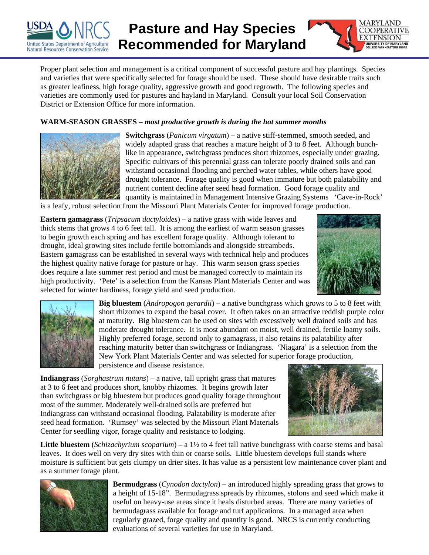

## **Pasture and Hay Species Recommended for Maryland**



Proper plant selection and management is a critical component of successful pasture and hay plantings. Species and varieties that were specifically selected for forage should be used. These should have desirable traits such as greater leafiness, high forage quality, aggressive growth and good regrowth. The following species and varieties are commonly used for pastures and hayland in Maryland. Consult your local Soil Conservation District or Extension Office for more information.

## **WARM-SEASON GRASSES –** *most productive growth is during the hot summer months*



**Switchgrass** (*Panicum virgatum*) – a native stiff-stemmed, smooth seeded, and widely adapted grass that reaches a mature height of 3 to 8 feet. Although bunchlike in appearance, switchgrass produces short rhizomes, especially under grazing. Specific cultivars of this perennial grass can tolerate poorly drained soils and can withstand occasional flooding and perched water tables, while others have good drought tolerance. Forage quality is good when immature but both palatability and nutrient content decline after seed head formation. Good forage quality and quantity is maintained in Management Intensive Grazing Systems 'Cave-in-Rock'

is a leafy, robust selection from the Missouri Plant Materials Center for improved forage production.

**Eastern gamagrass** (*Tripsacum dactyloides*) – a native grass with wide leaves and thick stems that grows 4 to 6 feet tall. It is among the earliest of warm season grasses to begin growth each spring and has excellent forage quality. Although tolerant to drought, ideal growing sites include fertile bottomlands and alongside streambeds. Eastern gamagrass can be established in several ways with technical help and produces the highest quality native forage for pasture or hay. This warm season grass species does require a late summer rest period and must be managed correctly to maintain its high productivity. 'Pete' is a selection from the Kansas Plant Materials Center and was selected for winter hardiness, forage yield and seed production.





**Big bluestem** (*Andropogon gerardii*) – a native bunchgrass which grows to 5 to 8 feet with short rhizomes to expand the basal cover. It often takes on an attractive reddish purple color at maturity. Big bluestem can be used on sites with excessively well drained soils and has moderate drought tolerance. It is most abundant on moist, well drained, fertile loamy soils. Highly preferred forage, second only to gamagrass, it also retains its palatability after reaching maturity better than switchgrass or Indiangrass. 'Niagara' is a selection from the New York Plant Materials Center and was selected for superior forage production, persistence and disease resistance.

**Indiangrass** (*Sorghastrum nutans*) – a native, tall upright grass that matures at 3 to 6 feet and produces short, knobby rhizomes. It begins growth later than switchgrass or big bluestem but produces good quality forage throughout most of the summer. Moderately well-drained soils are preferred but Indiangrass can withstand occasional flooding. Palatability is moderate after seed head formation. 'Rumsey' was selected by the Missouri Plant Materials Center for seedling vigor, forage quality and resistance to lodging.



**Little bluestem** (*Schizachyrium scoparium*) – a 1½ to 4 feet tall native bunchgrass with coarse stems and basal leaves. It does well on very dry sites with thin or coarse soils. Little bluestem develops full stands where moisture is sufficient but gets clumpy on drier sites. It has value as a persistent low maintenance cover plant and as a summer forage plant.



**Bermudgrass** (*Cynodon dactylon*) – an introduced highly spreading grass that grows to a height of 15-18". Bermudagrass spreads by rhizomes, stolons and seed which make it useful on heavy-use areas since it heals disturbed areas. There are many varieties of bermudagrass available for forage and turf applications. In a managed area when regularly grazed, forge quality and quantity is good. NRCS is currently conducting evaluations of several varieties for use in Maryland.